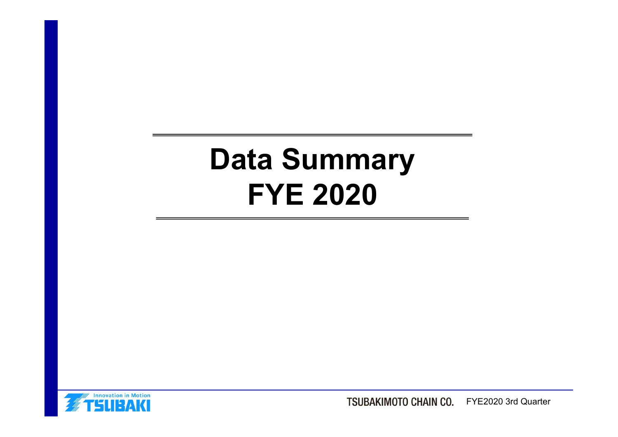# Data Summary ta Summary<br>FYE 2020



TSUBAKIMOTO CHAIN CO. FYE2020 3rd Quarter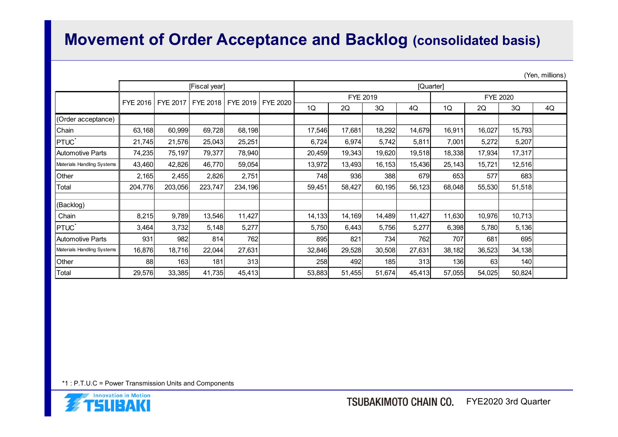### Movement of Order Acceptance and Backlog (consolidated basis)

|                            |                 |                                           |               |         |        |          |        |           |        |                 |        | (Yen, millions) |
|----------------------------|-----------------|-------------------------------------------|---------------|---------|--------|----------|--------|-----------|--------|-----------------|--------|-----------------|
|                            |                 |                                           | [Fiscal year] |         |        | FYE 2019 |        | [Quarter] |        | <b>FYE 2020</b> |        |                 |
|                            | <b>FYE 2016</b> | FYE 2017   FYE 2018   FYE 2019   FYE 2020 |               |         | 1Q     | 2Q       | 3Q     | 4Q        | 1Q     | $2{\sf Q}$      | 3Q     | 4Q              |
| (Order acceptance)         |                 |                                           |               |         |        |          |        |           |        |                 |        |                 |
| Chain                      | 63,168          | 60,999                                    | 69,728        | 68,198  | 17,546 | 17,681   | 18,292 | 14,679    | 16,911 | 16,027          | 15,793 |                 |
| <b>PTUC</b>                | 21,745          | 21,576                                    | 25,043        | 25,251  | 6,724  | 6,974    | 5,742  | 5,811     | 7,001  | 5,272           | 5,207  |                 |
| Automotive Parts           | 74,235          | 75,197                                    | 79,377        | 78,940  | 20,459 | 19,343   | 19,620 | 19,518    | 18,338 | 17,934          | 17,317 |                 |
| Materials Handling Systems | 43,460          | 42,826                                    | 46,770        | 59,054  | 13,972 | 13,493   | 16,153 | 15,436    | 25,143 | 15,721          | 12,516 |                 |
| Other                      | 2,165           | 2,455                                     | 2,826         | 2,751   | 748    | 936      | 388    | 679       | 653    | 577             | 683    |                 |
| Total                      | 204,776         | 203,056                                   | 223,747       | 234,196 | 59,451 | 58,427   | 60,195 | 56,123    | 68,048 | 55,530          | 51,518 |                 |
| (Backlog)                  |                 |                                           |               |         |        |          |        |           |        |                 |        |                 |
| Chain                      | 8,215           | 9,789                                     | 13,546        | 11,427  | 14,133 | 14,169   | 14,489 | 11,427    | 11,630 | 10,976          | 10,713 |                 |
| <b>PTUC</b> <sup>*</sup>   | 3,464           | 3,732                                     | 5,148         | 5,277   | 5,750  | 6,443    | 5,756  | 5,277     | 6,398  | 5,780           | 5,136  |                 |
| Automotive Parts           | 931             | 982                                       | 814           | 762     | 895    | 821      | 734    | 762       | 707    | 681             | 695    |                 |
| Materials Handling Systems | 16,876          | 18,716                                    | 22,044        | 27,631  | 32,846 | 29,528   | 30,508 | 27,631    | 38,182 | 36,523          | 34,138 |                 |
|                            | 88              | 163                                       | 181           | 313     | 258    | 492      | 185    | 313       | 136    | 63              | 140    |                 |
| Other                      |                 |                                           |               |         |        |          |        |           |        |                 |        |                 |

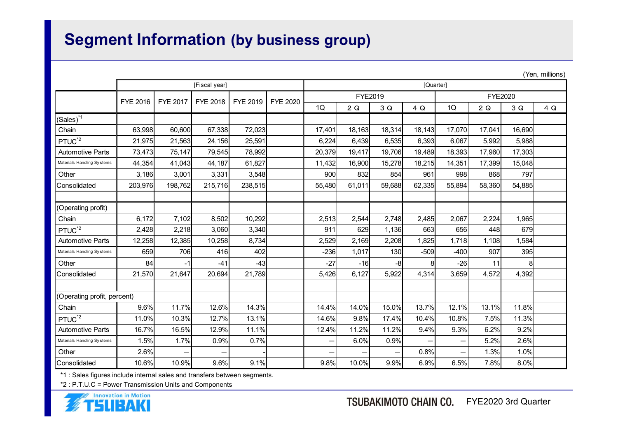## Segment Information (by business group)

| <b>Segment Information (by business group)</b>                            |                                         |                 |                 |                 |                 |                |                |                       |           |                          |                     |        |                 |
|---------------------------------------------------------------------------|-----------------------------------------|-----------------|-----------------|-----------------|-----------------|----------------|----------------|-----------------------|-----------|--------------------------|---------------------|--------|-----------------|
|                                                                           |                                         |                 |                 |                 |                 |                |                |                       |           |                          |                     |        |                 |
|                                                                           |                                         |                 |                 |                 |                 |                |                |                       |           |                          |                     |        | (Yen, millions) |
|                                                                           |                                         |                 | [Fiscal year]   |                 |                 |                |                |                       | [Quarter] |                          |                     |        |                 |
|                                                                           | FYE 2016                                | <b>FYE 2017</b> | FYE 2018        | <b>FYE 2019</b> | <b>FYE 2020</b> |                | FYE2019        |                       |           |                          | <b>FYE2020</b>      |        |                 |
|                                                                           |                                         |                 |                 |                 |                 | 1Q             | 2Q             | 3 Q                   | 4 Q       | 1Q                       | 2Q                  | 3Q     | 4Q              |
| $(Sales)^{1}$<br>Chain                                                    | 63,998                                  | 60,600          | 67,338          | 72,023          |                 | 17,401         | 18,163         | 18,314                | 18,143    | 17,070                   | 17,041              | 16,690 |                 |
| PTUC <sup>*2</sup>                                                        | 21,975                                  | 21,563          | 24,156          | 25,591          |                 | 6,224          | 6,439          | 6,535                 | 6,393     | 6,067                    | 5,992               | 5,988  |                 |
| <b>Automotive Parts</b>                                                   | 73,473                                  | 75,147          | 79,545          | 78,992          |                 | 20,379         | 19,417         | 19,706                | 19,489    | 18,393                   | 17,960              | 17,303 |                 |
| Materials Handling Systems                                                | 44,354                                  | 41,043          | 44,187          | 61,827          |                 | 11,432         | 16,900         | 15,278                | 18,215    | 14,351                   | 17,399              | 15,048 |                 |
| Other                                                                     | 3,186                                   | 3,001           | 3,331           | 3,548           |                 | 900            | 832            | 854                   | 961       | 998                      | 868                 | 797    |                 |
| Consolidated                                                              | 203,976                                 | 198,762         | 215,716         | 238,515         |                 | 55,480         | 61,011         | 59,688                | 62,335    | 55,894                   | 58,360              | 54,885 |                 |
|                                                                           |                                         |                 |                 |                 |                 |                |                |                       |           |                          |                     |        |                 |
| (Operating profit)                                                        |                                         |                 |                 |                 |                 |                |                |                       |           |                          |                     |        |                 |
| Chain                                                                     | 6,172                                   | 7,102           | 8,502           | 10,292          |                 | 2,513          | 2,544          | 2,748                 | 2,485     | 2,067                    | 2,224               | 1,965  |                 |
| PTUC <sup>*2</sup>                                                        | 2,428                                   | 2,218           | 3,060           | 3,340           |                 | 911            | 629            | 1,136                 | 663       | 656                      | 448                 | 679    |                 |
| Automotive Parts                                                          | 12,258                                  | 12,385          | 10,258          | 8,734           |                 | 2,529          | 2,169          | 2,208                 | 1,825     | 1,718                    | 1,108               | 1,584  |                 |
| Materials Handling Systems                                                | 659                                     | 706             | 416             | 402             |                 | $-236$         | 1,017          | 130                   | $-509$    | $-400$                   | 907                 | 395    |                 |
| Other<br>Consolidated                                                     | 84<br>21,570                            | 21,647          | $-41$<br>20,694 | $-43$<br>21,789 |                 | $-27$<br>5,426 | $-16$<br>6,127 | -8 <br>5,922          | 4,314     | $-26$<br>3,659           | 11<br>4,572         | 4,392  |                 |
|                                                                           |                                         |                 |                 |                 |                 |                |                |                       |           |                          |                     |        |                 |
| (Operating profit, percent)                                               |                                         |                 |                 |                 |                 |                |                |                       |           |                          |                     |        |                 |
| Chain                                                                     | 9.6%                                    | 11.7%           | 12.6%           | 14.3%           |                 | 14.4%          | 14.0%          | 15.0%                 | 13.7%     | 12.1%                    | 13.1%               | 11.8%  |                 |
| PTUC <sup>*2</sup>                                                        | 11.0%                                   | 10.3%           | 12.7%           | 13.1%           |                 | 14.6%          | 9.8%           | 17.4%                 | 10.4%     | 10.8%                    | 7.5%                | 11.3%  |                 |
| <b>Automotive Parts</b>                                                   | 16.7%                                   | 16.5%           | 12.9%           | 11.1%           |                 | 12.4%          | 11.2%          | 11.2%                 | 9.4%      | 9.3%                     | 6.2%                | 9.2%   |                 |
| Materials Handling Systems                                                | 1.5%                                    | 1.7%            | 0.9%            | 0.7%            |                 |                | 6.0%           | 0.9%                  |           | $\overline{\phantom{0}}$ | 5.2%                | 2.6%   |                 |
| Other                                                                     | 2.6%                                    |                 |                 |                 |                 |                |                |                       | 0.8%      | $\overline{\phantom{0}}$ | 1.3%                | 1.0%   |                 |
| Consolidated                                                              | 10.6%                                   | 10.9%           | 9.6%            | 9.1%            |                 | 9.8%           | 10.0%          | 9.9%                  | 6.9%      | 6.5%                     | 7.8%                | 8.0%   |                 |
| *1 : Sales figures include internal sales and transfers between segments. |                                         |                 |                 |                 |                 |                |                |                       |           |                          |                     |        |                 |
| *2 : P.T.U.C = Power Transmission Units and Components                    |                                         |                 |                 |                 |                 |                |                |                       |           |                          |                     |        |                 |
|                                                                           | <b>Innovation in Motion</b><br>TSLIBAKI |                 |                 |                 |                 |                |                | TSUBAKIMOTO CHAIN CO. |           |                          | FYE2020 3rd Quarter |        |                 |

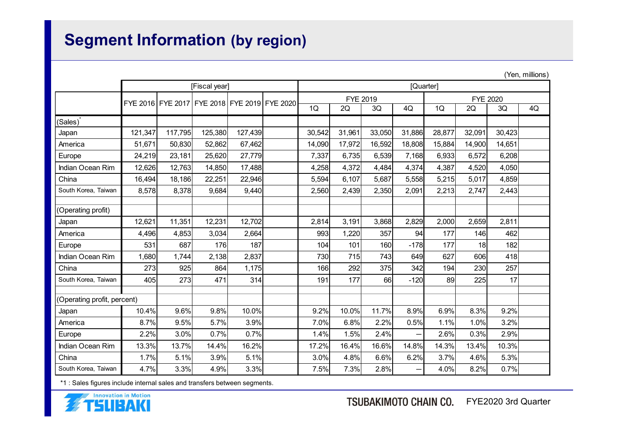# Segment Information (by region)

| <b>Segment Information (by region)</b>                                    |                                              |         |               |         |              |          |        |                   |        |                 |              |                 |
|---------------------------------------------------------------------------|----------------------------------------------|---------|---------------|---------|--------------|----------|--------|-------------------|--------|-----------------|--------------|-----------------|
|                                                                           |                                              |         |               |         |              |          |        |                   |        |                 |              |                 |
|                                                                           |                                              |         |               |         |              |          |        |                   |        |                 |              |                 |
|                                                                           |                                              |         |               |         |              |          |        |                   |        |                 |              |                 |
|                                                                           |                                              |         |               |         |              |          |        |                   |        |                 |              |                 |
|                                                                           |                                              |         |               |         |              |          |        |                   |        |                 |              | (Yen, millions) |
|                                                                           |                                              |         | [Fiscal year] |         |              |          |        | [Quarter]         |        |                 |              |                 |
|                                                                           |                                              |         |               |         |              | FYE 2019 |        |                   |        | <b>FYE 2020</b> |              |                 |
|                                                                           | FYE 2016 FYE 2017 FYE 2018 FYE 2019 FYE 2020 |         |               |         | 1Q           | 2Q       | 3Q     | 4Q                | 1Q     | 2Q              | 3Q           | 4Q              |
| (Sales)                                                                   |                                              |         |               |         |              |          |        |                   |        |                 |              |                 |
| Japan                                                                     | 121,347                                      | 117,795 | 125,380       | 127,439 | 30,542       | 31,961   | 33,050 | 31,886            | 28,877 | 32,091          | 30,423       |                 |
| America                                                                   | 51,671                                       | 50,830  | 52,862        | 67,462  | 14,090       | 17,972   | 16,592 | 18,808            | 15,884 | 14,900          | 14,651       |                 |
| Europe                                                                    | 24,219                                       | 23,181  | 25,620        | 27,779  | 7,337        | 6,735    | 6,539  | 7,168             | 6,933  | 6,572           | 6,208        |                 |
| Indian Ocean Rim                                                          | 12,626                                       | 12,763  | 14,850        | 17,488  | 4,258        | 4,372    | 4,484  | 4,374             | 4,387  | 4,520           | 4,050        |                 |
| China                                                                     | 16,494                                       | 18,186  | 22,251        | 22,946  | 5,594        | 6,107    | 5,687  | 5,558             | 5,215  | 5,017           | 4,859        |                 |
| South Korea, Taiwan                                                       | 8,578                                        | 8,378   | 9,684         | 9,440   | 2,560        | 2,439    | 2,350  | 2,091             | 2,213  | 2,747           | 2,443        |                 |
|                                                                           |                                              |         |               |         |              |          |        |                   |        |                 |              |                 |
| (Operating profit)                                                        | 12,621                                       | 11,351  | 12,231        | 12,702  |              | 3,191    | 3,868  | 2,829             | 2,000  | 2,659           |              |                 |
| Japan<br>America                                                          | 4,496                                        | 4,853   | 3,034         | 2,664   | 2,814<br>993 | 1,220    | 357    | 94                | 177    | 146             | 2,811<br>462 |                 |
| Europe                                                                    | 531                                          | 687     | 176           | 187     | 104          | 101      | 160    | $-178$            | 177    | 18              | 182          |                 |
| Indian Ocean Rim                                                          | 1,680                                        | 1,744   | 2,138         | 2,837   | 730          | 715      | 743    | 649               | 627    | 606             | 418          |                 |
| China                                                                     | 273                                          | 925     | 864           | 1,175   | 166          | 292      | 375    | 342               | 194    | 230             | 257          |                 |
| South Korea, Taiwan                                                       | 405                                          | 273     | 471           | 314     | 191          | 177      | 66     | $-120$            | 89     | 225             | 17           |                 |
|                                                                           |                                              |         |               |         |              |          |        |                   |        |                 |              |                 |
| (Operating profit, percent)                                               |                                              |         |               |         |              |          |        |                   |        |                 |              |                 |
| Japan                                                                     | 10.4%                                        | 9.6%    | 9.8%          | 10.0%   | 9.2%         | 10.0%    | 11.7%  | 8.9%              | 6.9%   | 8.3%            | 9.2%         |                 |
| America                                                                   | 8.7%                                         | 9.5%    | 5.7%          | 3.9%    | 7.0%         | 6.8%     | 2.2%   | 0.5%              | 1.1%   | 1.0%            | 3.2%         |                 |
| Europe                                                                    | 2.2%                                         | 3.0%    | 0.7%          | 0.7%    | 1.4%         | 1.5%     | 2.4%   | $\qquad \qquad -$ | 2.6%   | 0.3%            | 2.9%         |                 |
| Indian Ocean Rim                                                          | 13.3%                                        | 13.7%   | 14.4%         | 16.2%   | 17.2%        | 16.4%    | 16.6%  | 14.8%             | 14.3%  | 13.4%           | 10.3%        |                 |
| China                                                                     | 1.7%                                         | 5.1%    | 3.9%          | 5.1%    | 3.0%         | 4.8%     | 6.6%   | 6.2%              | 3.7%   | 4.6%            | 5.3%         |                 |
| South Korea, Taiwan                                                       | 4.7%                                         | 3.3%    | 4.9%          | 3.3%    | 7.5%         | 7.3%     | 2.8%   | $\qquad \qquad -$ | 4.0%   | 8.2%            | 0.7%         |                 |
| *1 : Sales figures include internal sales and transfers between segments. |                                              |         |               |         |              |          |        |                   |        |                 |              |                 |

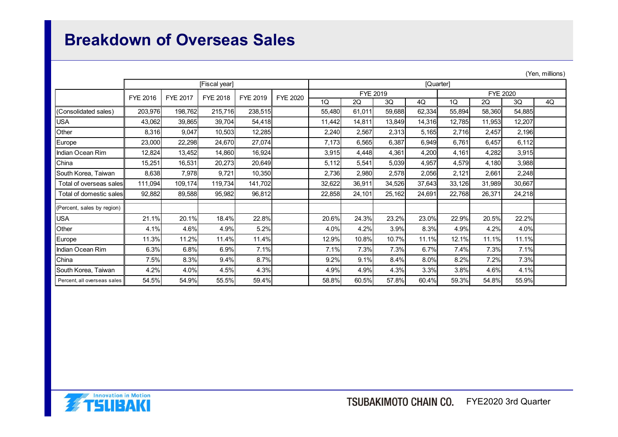## Breakdown of Overseas Sales

|                             |          |                 |                 |                   |                 |                  |                  |              |              |                  |                 |              | (Yen, millions) |
|-----------------------------|----------|-----------------|-----------------|-------------------|-----------------|------------------|------------------|--------------|--------------|------------------|-----------------|--------------|-----------------|
|                             |          |                 | [Fiscal year]   |                   |                 | [Quarter]        |                  |              |              |                  |                 |              |                 |
|                             | FYE 2016 | <b>FYE 2017</b> | <b>FYE 2018</b> | FYE 2019          | <b>FYE 2020</b> |                  | FYE 2019         |              |              |                  | <b>FYE 2020</b> |              |                 |
|                             | 203,976  | 198,762         | 215,716         |                   |                 | 1Q               | 2Q               | 3Q<br>59,688 | 4Q<br>62,334 | 1Q               | 2Q<br>58,360    | 3Q<br>54,885 | 4Q              |
| (Consolidated sales)<br>USA | 43,062   | 39,865          | 39,704          | 238,515<br>54,418 |                 | 55,480<br>11,442 | 61,011<br>14,811 | 13,849       | 14,316       | 55,894<br>12,785 | 11,953          | 12,207       |                 |
| Other                       | 8,316    | 9,047           | 10,503          | 12,285            |                 | 2,240            | 2,567            | 2,313        | 5,165        | 2,716            | 2,457           | 2,196        |                 |
| Europe                      | 23,000   | 22,298          | 24,670          | 27,074            |                 | 7,173            | 6,565            | 6,387        | 6,949        | 6,761            | 6,457           | 6,112        |                 |
| Indian Ocean Rim            | 12,824   | 13,452          | 14,860          | 16,924            |                 | 3,915            | 4,448            | 4,361        | 4,200        | 4,161            | 4,282           | 3,915        |                 |
| China                       | 15,251   | 16,531          | 20,273          | 20,649            |                 | 5,112            | 5,541            | 5,039        | 4,957        | 4,579            | 4,180           | 3,988        |                 |
| South Korea, Taiwan         | 8,638    | 7,978           | 9,721           | 10,350            |                 | 2,736            | 2,980            | 2,578        | 2,056        | 2,121            | 2,661           | 2,248        |                 |
| Total of overseas sales     | 111,094  | 109,174         | 119,734         | 141,702           |                 | 32,622           | 36,911           | 34,526       | 37,643       | 33,126           | 31,989          | 30,667       |                 |
| Total of domestic sales     | 92,882   | 89,588          | 95,982          | 96,812            |                 | 22,858           | 24,101           | 25,162       | 24,691       | 22,768           | 26,371          | 24,218       |                 |
| (Percent, sales by region)  |          |                 |                 |                   |                 |                  |                  |              |              |                  |                 |              |                 |
| USA                         | 21.1%    | 20.1%           | 18.4%           | 22.8%             |                 | 20.6%            | 24.3%            | 23.2%        | 23.0%        | 22.9%            | 20.5%           | 22.2%        |                 |
| Other                       | 4.1%     | 4.6%            | 4.9%            | 5.2%              |                 | 4.0%             | 4.2%             | 3.9%         | 8.3%         | 4.9%             | 4.2%            | 4.0%         |                 |
| Europe                      | 11.3%    | 11.2%           | 11.4%           | 11.4%             |                 | 12.9%            | 10.8%            | 10.7%        | 11.1%        | 12.1%            | 11.1%           | 11.1%        |                 |
| Indian Ocean Rim            | 6.3%     | 6.8%            | 6.9%            | 7.1%              |                 | 7.1%             | 7.3%             | 7.3%         | 6.7%         | 7.4%             | 7.3%            | 7.1%         |                 |
| China                       | 7.5%     | 8.3%            | 9.4%            | 8.7%              |                 | 9.2%             | 9.1%             | 8.4%         | 8.0%         | 8.2%             | 7.2%            | 7.3%         |                 |
| South Korea, Taiwan         | 4.2%     | 4.0%            | 4.5%            | 4.3%              |                 | 4.9%             | 4.9%             | 4.3%         | 3.3%         | 3.8%             | 4.6%            | 4.1%         |                 |
|                             | 54.5%    | 54.9%           | 55.5%           | 59.4%             |                 | 58.8%            | 60.5%            | 57.8%        | 60.4%        | 59.3%            | 54.8%           | 55.9%        |                 |